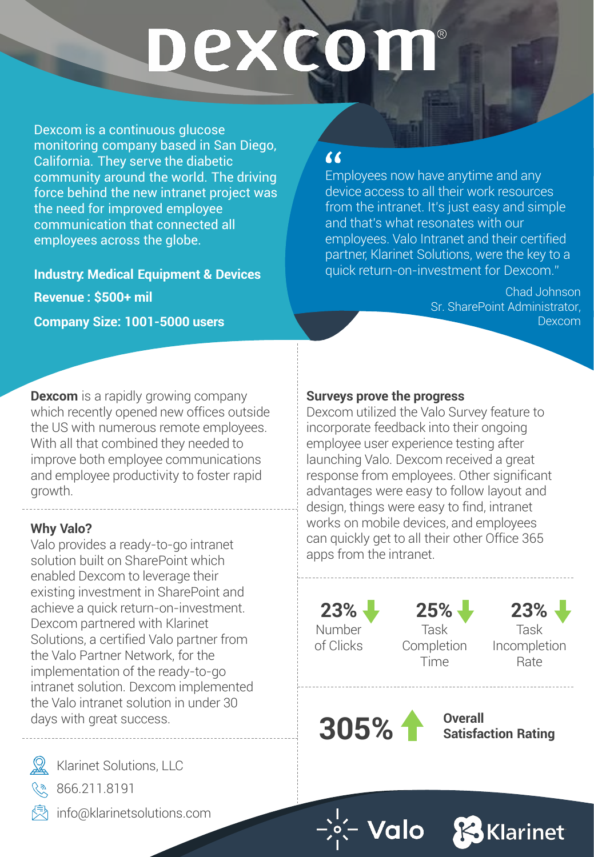# DEXCOI

Dexcom is a continuous glucose monitoring company based in San Diego, California. They serve the diabetic community around the world. The driving force behind the new intranet project was the need for improved employee communication that connected all employees across the globe.

**Industry: Medical Equipment & Devices Revenue : \$500+ mil Company Size: 1001-5000 users**

**Dexcom** is a rapidly growing company which recently opened new offices outside the US with numerous remote employees. With all that combined they needed to improve both employee communications and employee productivity to foster rapid growth.

## **Why Valo?**

Valo provides a ready-to-go intranet solution built on SharePoint which enabled Dexcom to leverage their existing investment in SharePoint and achieve a quick return-on-investment. Dexcom partnered with Klarinet Solutions, a certified Valo partner from the Valo Partner Network, for the implementation of the ready-to-go intranet solution. Dexcom implemented the Valo intranet solution in under 30 days with great success.

Klarinet Solutions, LLC



info@klarinetsolutions.com

# "

Employees now have anytime and any device access to all their work resources from the intranet. It's just easy and simple and that's what resonates with our employees. Valo Intranet and their certified partner, Klarinet Solutions, were the key to a quick return-on-investment for Dexcom."

> Chad Johnson Sr. SharePoint Administrator, Dexcom

# **Surveys prove the progress**

Dexcom utilized the Valo Survey feature to incorporate feedback into their ongoing employee user experience testing after launching Valo. Dexcom received a great response from employees. Other significant advantages were easy to follow layout and design, things were easy to find, intranet works on mobile devices, and employees can quickly get to all their other Office 365 apps from the intranet.

**23%** Number

of Clicks



Time

Task **Completion** 

**23%** Task Incompletion Rate

**305%**

**Overall Satisfaction Rating**